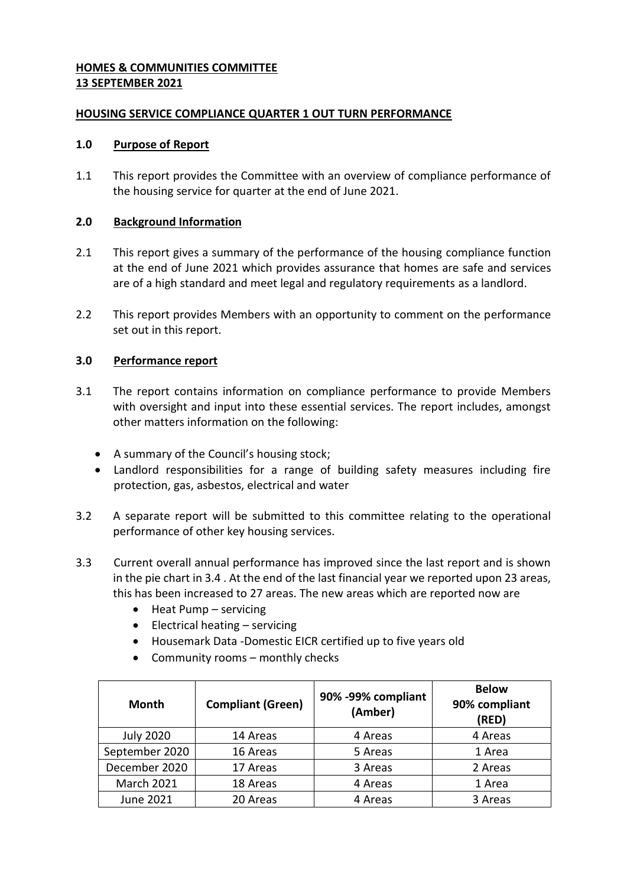# **HOMES & COMMUNITIES COMMITTEE 13 SEPTEMBER 2021**

# **HOUSING SERVICE COMPLIANCE QUARTER 1 OUT TURN PERFORMANCE**

## **1.0 Purpose of Report**

1.1 This report provides the Committee with an overview of compliance performance of the housing service for quarter at the end of June 2021.

# **2.0 Background Information**

- 2.1 This report gives a summary of the performance of the housing compliance function at the end of June 2021 which provides assurance that homes are safe and services are of a high standard and meet legal and regulatory requirements as a landlord.
- 2.2 This report provides Members with an opportunity to comment on the performance set out in this report.

# **3.0 Performance report**

- 3.1 The report contains information on compliance performance to provide Members with oversight and input into these essential services. The report includes, amongst other matters information on the following:
	- A summary of the Council's housing stock;
	- Landlord responsibilities for a range of building safety measures including fire protection, gas, asbestos, electrical and water
- 3.2 A separate report will be submitted to this committee relating to the operational performance of other key housing services.
- 3.3 Current overall annual performance has improved since the last report and is shown in the pie chart in 3.4 . At the end of the last financial year we reported upon 23 areas, this has been increased to 27 areas. The new areas which are reported now are
	- $\bullet$  Heat Pump servicing
	- $\bullet$  Electrical heating servicing
	- Housemark Data -Domestic EICR certified up to five years old
	- Community rooms monthly checks

| <b>Month</b>      | <b>Compliant (Green)</b> | 90% -99% compliant<br>(Amber) | <b>Below</b><br>90% compliant<br>(RED) |
|-------------------|--------------------------|-------------------------------|----------------------------------------|
| <b>July 2020</b>  | 14 Areas                 | 4 Areas                       | 4 Areas                                |
| September 2020    | 16 Areas                 | 5 Areas                       | 1 Area                                 |
| December 2020     | 17 Areas                 | 3 Areas                       | 2 Areas                                |
| <b>March 2021</b> | 18 Areas                 | 4 Areas                       | 1 Area                                 |
| <b>June 2021</b>  | 20 Areas                 | 4 Areas                       | 3 Areas                                |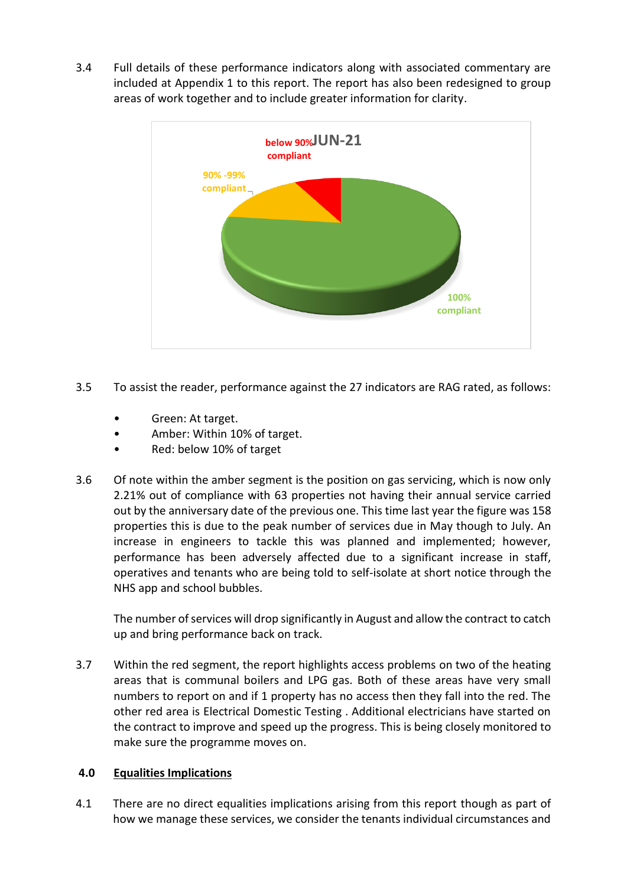3.4 Full details of these performance indicators along with associated commentary are included at Appendix 1 to this report. The report has also been redesigned to group areas of work together and to include greater information for clarity.



- 3.5 To assist the reader, performance against the 27 indicators are RAG rated, as follows:
	- Green: At target.
	- Amber: Within 10% of target.
	- Red: below 10% of target
- 3.6 Of note within the amber segment is the position on gas servicing, which is now only 2.21% out of compliance with 63 properties not having their annual service carried out by the anniversary date of the previous one. This time last year the figure was 158 properties this is due to the peak number of services due in May though to July. An increase in engineers to tackle this was planned and implemented; however, performance has been adversely affected due to a significant increase in staff, operatives and tenants who are being told to self-isolate at short notice through the NHS app and school bubbles.

The number of services will drop significantly in August and allow the contract to catch up and bring performance back on track.

3.7 Within the red segment, the report highlights access problems on two of the heating areas that is communal boilers and LPG gas. Both of these areas have very small numbers to report on and if 1 property has no access then they fall into the red. The other red area is Electrical Domestic Testing . Additional electricians have started on the contract to improve and speed up the progress. This is being closely monitored to make sure the programme moves on.

## **4.0 Equalities Implications**

4.1 There are no direct equalities implications arising from this report though as part of how we manage these services, we consider the tenants individual circumstances and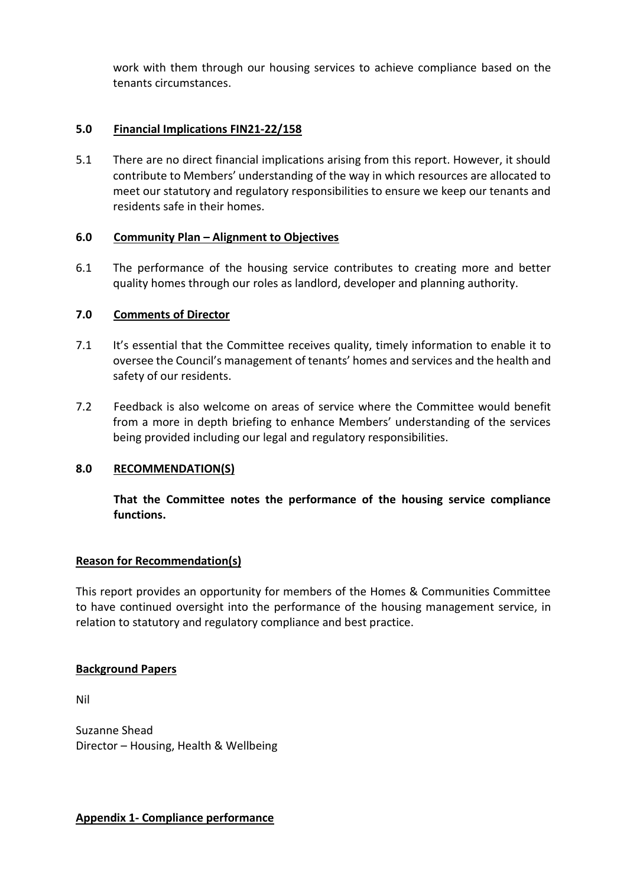work with them through our housing services to achieve compliance based on the tenants circumstances.

# **5.0 Financial Implications FIN21-22/158**

5.1 There are no direct financial implications arising from this report. However, it should contribute to Members' understanding of the way in which resources are allocated to meet our statutory and regulatory responsibilities to ensure we keep our tenants and residents safe in their homes.

## **6.0 Community Plan – Alignment to Objectives**

6.1 The performance of the housing service contributes to creating more and better quality homes through our roles as landlord, developer and planning authority.

# **7.0 Comments of Director**

- 7.1 It's essential that the Committee receives quality, timely information to enable it to oversee the Council's management of tenants' homes and services and the health and safety of our residents.
- 7.2 Feedback is also welcome on areas of service where the Committee would benefit from a more in depth briefing to enhance Members' understanding of the services being provided including our legal and regulatory responsibilities.

## **8.0 RECOMMENDATION(S)**

**That the Committee notes the performance of the housing service compliance functions.**

## **Reason for Recommendation(s)**

This report provides an opportunity for members of the Homes & Communities Committee to have continued oversight into the performance of the housing management service, in relation to statutory and regulatory compliance and best practice.

## **Background Papers**

Nil

Suzanne Shead Director – Housing, Health & Wellbeing

**Appendix 1- Compliance performance**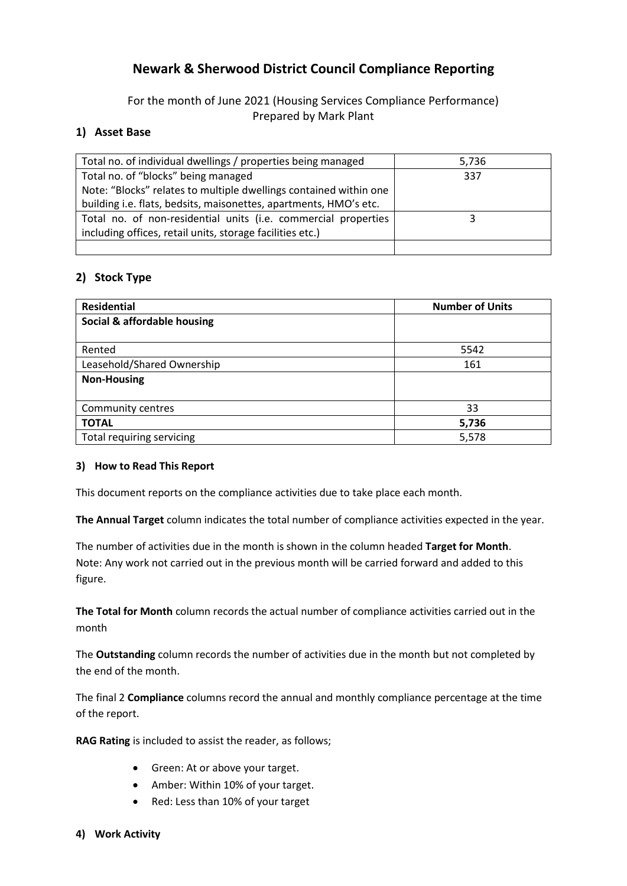# **Newark & Sherwood District Council Compliance Reporting**

For the month of June 2021 (Housing Services Compliance Performance) Prepared by Mark Plant

# **1) Asset Base**

| Total no. of individual dwellings / properties being managed      | 5,736 |
|-------------------------------------------------------------------|-------|
| Total no. of "blocks" being managed                               | 337   |
| Note: "Blocks" relates to multiple dwellings contained within one |       |
| building i.e. flats, bedsits, maisonettes, apartments, HMO's etc. |       |
| Total no. of non-residential units (i.e. commercial properties    |       |
| including offices, retail units, storage facilities etc.)         |       |
|                                                                   |       |

# **2) Stock Type**

| <b>Residential</b>          | <b>Number of Units</b> |
|-----------------------------|------------------------|
| Social & affordable housing |                        |
|                             |                        |
| Rented                      | 5542                   |
| Leasehold/Shared Ownership  | 161                    |
| <b>Non-Housing</b>          |                        |
|                             |                        |
| Community centres           | 33                     |
| <b>TOTAL</b>                | 5,736                  |
| Total requiring servicing   | 5,578                  |

## **3) How to Read This Report**

This document reports on the compliance activities due to take place each month.

**The Annual Target** column indicates the total number of compliance activities expected in the year.

The number of activities due in the month is shown in the column headed **Target for Month**. Note: Any work not carried out in the previous month will be carried forward and added to this figure.

**The Total for Month** column records the actual number of compliance activities carried out in the month

The **Outstanding** column records the number of activities due in the month but not completed by the end of the month.

The final 2 **Compliance** columns record the annual and monthly compliance percentage at the time of the report.

**RAG Rating** is included to assist the reader, as follows;

- Green: At or above your target.
- Amber: Within 10% of your target.
- Red: Less than 10% of your target
- **4) Work Activity**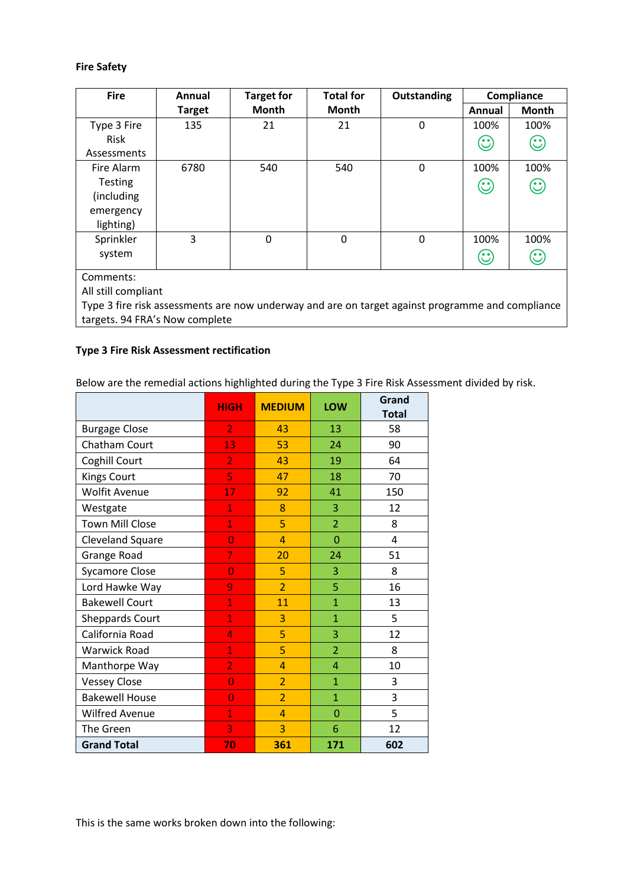## **Fire Safety**

| <b>Fire</b>    | Annual        | <b>Target for</b> | <b>Total for</b> | Outstanding |         | Compliance   |
|----------------|---------------|-------------------|------------------|-------------|---------|--------------|
|                | <b>Target</b> | Month             | <b>Month</b>     |             | Annual  | <b>Month</b> |
| Type 3 Fire    | 135           | 21                | 21               | $\mathbf 0$ | 100%    | 100%         |
| Risk           |               |                   |                  |             | $\odot$ | $\odot$      |
| Assessments    |               |                   |                  |             |         |              |
| Fire Alarm     | 6780          | 540               | 540              | $\mathbf 0$ | 100%    | 100%         |
| <b>Testing</b> |               |                   |                  |             | $\odot$ | $\odot$      |
| (including     |               |                   |                  |             |         |              |
| emergency      |               |                   |                  |             |         |              |
| lighting)      |               |                   |                  |             |         |              |
| Sprinkler      | 3             | $\mathbf 0$       | 0                | $\mathbf 0$ | 100%    | 100%         |
| system         |               |                   |                  |             | $\odot$ | $\odot$      |
|                |               |                   |                  |             |         |              |
| Comments:      |               |                   |                  |             |         |              |

All still compliant

Type 3 fire risk assessments are now underway and are on target against programme and compliance targets. 94 FRA's Now complete

#### **Type 3 Fire Risk Assessment rectification**

Below are the remedial actions highlighted during the Type 3 Fire Risk Assessment divided by risk.

|                        | <b>HIGH</b>    | <b>MEDIUM</b>  | LOW            | Grand        |
|------------------------|----------------|----------------|----------------|--------------|
|                        |                |                |                | <b>Total</b> |
| <b>Burgage Close</b>   | 2 <sub>1</sub> | 43             | 13             | 58           |
| Chatham Court          | 13             | 53             | 24             | 90           |
| Coghill Court          | $\overline{2}$ | 43             | 19             | 64           |
| <b>Kings Court</b>     | 5              | 47             | 18             | 70           |
| <b>Wolfit Avenue</b>   | 17             | 92             | 41             | 150          |
| Westgate               | $\mathbf{1}$   | 8              | 3              | 12           |
| Town Mill Close        | $\mathbf{1}$   | 5              | $\overline{2}$ | 8            |
| Cleveland Square       | $\overline{0}$ | $\overline{4}$ | $\overline{0}$ | 4            |
| Grange Road            | 7              | 20             | 24             | 51           |
| <b>Sycamore Close</b>  | $\overline{0}$ | 5              | 3              | 8            |
| Lord Hawke Way         | 9              | $\overline{2}$ | 5              | 16           |
| <b>Bakewell Court</b>  | $\mathbf{1}$   | 11             | $\overline{1}$ | 13           |
| <b>Sheppards Court</b> | $\mathbf{1}$   | 3              | $\mathbf{1}$   | 5            |
| California Road        | $\overline{4}$ | 5              | 3              | 12           |
| <b>Warwick Road</b>    | $\mathbf{1}$   | 5              | $\overline{2}$ | 8            |
| Manthorpe Way          | $\overline{2}$ | $\overline{4}$ | $\overline{4}$ | 10           |
| <b>Vessey Close</b>    | $\overline{0}$ | $\overline{2}$ | $\mathbf{1}$   | 3            |
| <b>Bakewell House</b>  | $\overline{0}$ | $\overline{2}$ | $\mathbf{1}$   | 3            |
| <b>Wilfred Avenue</b>  | $\mathbf{1}$   | $\overline{4}$ | $\overline{0}$ | 5            |
| The Green              | 3              | 3              | 6              | 12           |
| <b>Grand Total</b>     | 70             | 361            | 171            | 602          |

This is the same works broken down into the following: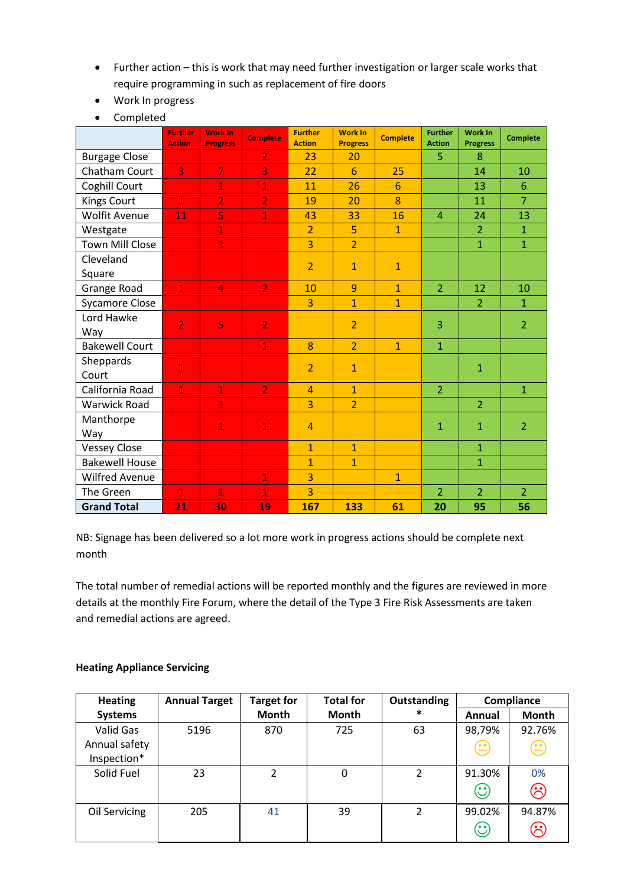- Further action this is work that may need further investigation or larger scale works that require programming in such as replacement of fire doors
- Work In progress
- Completed

|                        | <b>Further</b><br><b>Action</b> | <b>Work In</b><br><b>Progress</b> | <b>Complete</b> | <b>Further</b><br><b>Action</b> | <b>Work In</b><br><b>Progress</b> | <b>Complete</b> | <b>Further</b><br><b>Action</b> | <b>Work In</b><br><b>Progress</b> | <b>Complete</b> |
|------------------------|---------------------------------|-----------------------------------|-----------------|---------------------------------|-----------------------------------|-----------------|---------------------------------|-----------------------------------|-----------------|
| <b>Burgage Close</b>   |                                 |                                   | $\overline{2}$  | 23                              | 20                                |                 | 5                               | 8                                 |                 |
| Chatham Court          | 3                               | $\overline{7}$                    | 3               | 22                              | 6                                 | 25              |                                 | 14                                | 10              |
| Coghill Court          |                                 | $\overline{1}$                    | $\mathbf{1}$    | 11                              | 26                                | $6\phantom{1}6$ |                                 | 13                                | $6\phantom{1}6$ |
| <b>Kings Court</b>     | $\mathbf{1}$                    | $\overline{2}$                    | $\overline{2}$  | 19                              | 20                                | 8               |                                 | 11                                | $\overline{7}$  |
| <b>Wolfit Avenue</b>   | 11                              | 5                                 | $\mathbf{1}$    | 43                              | 33                                | 16              | $\overline{4}$                  | 24                                | 13              |
| Westgate               |                                 | $\mathbf{1}$                      |                 | $\overline{2}$                  | 5                                 | $\mathbf{1}$    |                                 | $\overline{2}$                    | $\mathbf{1}$    |
| <b>Town Mill Close</b> |                                 | $\mathbf{1}$                      |                 | 3                               | $\overline{2}$                    |                 |                                 | $\mathbf 1$                       | $\mathbf{1}$    |
| Cleveland<br>Square    |                                 |                                   |                 | $\overline{2}$                  | $\mathbf{1}$                      | $\mathbf{1}$    |                                 |                                   |                 |
| Grange Road            | $\mathbf{1}$                    | 4                                 | 2 <sub>1</sub>  | 10                              | 9                                 | $\mathbf{1}$    | $\overline{2}$                  | 12                                | 10              |
| <b>Sycamore Close</b>  |                                 |                                   |                 | 3                               | $\mathbf{1}$                      | $\mathbf{1}$    |                                 | $\overline{2}$                    | $\mathbf{1}$    |
| Lord Hawke<br>Way      | $\overline{2}$                  | 5                                 | $\overline{2}$  |                                 | $\overline{2}$                    |                 | 3                               |                                   | $\overline{2}$  |
| <b>Bakewell Court</b>  |                                 |                                   | $\mathbf{1}$    | 8                               | $\overline{2}$                    | $\mathbf{1}$    | $\mathbf{1}$                    |                                   |                 |
| Sheppards<br>Court     | $\mathbf{1}$                    |                                   |                 | $\overline{2}$                  | $\mathbf{1}$                      |                 |                                 | $\mathbf{1}$                      |                 |
| California Road        | $\mathbf{1}$                    | $\overline{1}$                    | $\overline{2}$  | $\overline{4}$                  | $\mathbf{1}$                      |                 | $\overline{2}$                  |                                   | $\mathbf{1}$    |
| <b>Warwick Road</b>    |                                 | $\overline{1}$                    |                 | 3                               | $\overline{2}$                    |                 |                                 | $\overline{2}$                    |                 |
| Manthorpe<br>Way       |                                 | $\mathbf{1}$                      | $\mathbf{1}$    | $\overline{4}$                  |                                   |                 | $\mathbf{1}$                    | $\mathbf{1}$                      | $\overline{2}$  |
| <b>Vessey Close</b>    |                                 |                                   |                 | $\overline{1}$                  | $\mathbf{1}$                      |                 |                                 | $\mathbf{1}$                      |                 |
| <b>Bakewell House</b>  |                                 |                                   |                 | $\overline{1}$                  | $\mathbf{1}$                      |                 |                                 | $\mathbf{1}$                      |                 |
| <b>Wilfred Avenue</b>  |                                 |                                   | $\mathbf{1}$    | 3                               |                                   | $\mathbf{1}$    |                                 |                                   |                 |
| The Green              | $\mathbf{1}$                    | $\mathbf{1}$                      | $\mathbf{1}$    | 3                               |                                   |                 | $\overline{2}$                  | $\overline{2}$                    | $\overline{2}$  |
| <b>Grand Total</b>     | 21                              | 30                                | 19              | 167                             | 133                               | 61              | 20                              | 95                                | 56              |

NB: Signage has been delivered so a lot more work in progress actions should be complete next month

The total number of remedial actions will be reported monthly and the figures are reviewed in more details at the monthly Fire Forum, where the detail of the Type 3 Fire Risk Assessments are taken and remedial actions are agreed.

## **Heating Appliance Servicing**

| <b>Heating</b> | <b>Annual Target</b> | <b>Target for</b> | <b>Total for</b> | <b>Outstanding</b> |                                                            | Compliance  |
|----------------|----------------------|-------------------|------------------|--------------------|------------------------------------------------------------|-------------|
| <b>Systems</b> |                      | Month             | <b>Month</b>     | $\ast$             | Annual                                                     | Month       |
| Valid Gas      | 5196                 | 870               | 725              | 63                 | 98,79%                                                     | 92.76%      |
| Annual safety  |                      |                   |                  |                    | $\left(\!\!\left.\frac{\cdot\!\!\right)}{\cdot\!\!\right)$ | $\bm \odot$ |
| Inspection*    |                      |                   |                  |                    |                                                            |             |
| Solid Fuel     | 23                   | 2                 | 0                | 2                  | 91.30%                                                     | 0%          |
|                |                      |                   |                  |                    | $\odot$                                                    | ඹ           |
| Oil Servicing  | 205                  | 41                | 39               | $\overline{2}$     | 99.02%                                                     | 94.87%      |
|                |                      |                   |                  |                    | $\odot$                                                    | $\odot$     |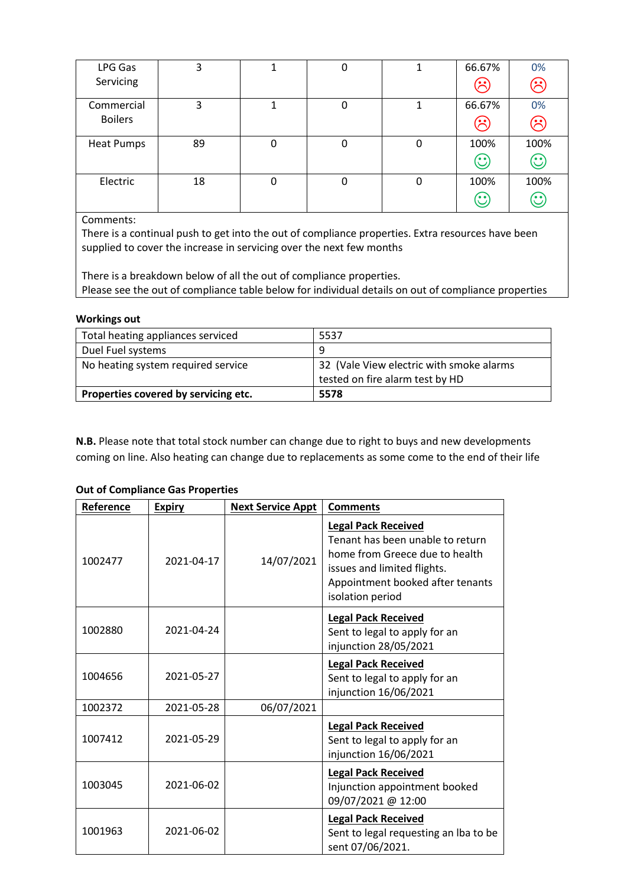| LPG Gas           | 3  |   | 0 |   | 66.67%                      | 0%      |
|-------------------|----|---|---|---|-----------------------------|---------|
| Servicing         |    |   |   |   | $\mathcal{E}$               | ☺       |
| Commercial        | 3  |   | 0 |   | 66.67%                      | 0%      |
| <b>Boilers</b>    |    |   |   |   | $\left( \mathcal{E}\right)$ | ⊗       |
| <b>Heat Pumps</b> | 89 | 0 | 0 | 0 | 100%                        | 100%    |
|                   |    |   |   |   | $\mathbf{\hat{C}}$          | $\odot$ |
| Electric          | 18 | 0 | 0 | 0 | 100%                        | 100%    |
|                   |    |   |   |   | $\mathbb{C}$                | $\odot$ |

Comments:

There is a continual push to get into the out of compliance properties. Extra resources have been supplied to cover the increase in servicing over the next few months

There is a breakdown below of all the out of compliance properties. Please see the out of compliance table below for individual details on out of compliance properties

#### **Workings out**

| Total heating appliances serviced    | 5537                                     |
|--------------------------------------|------------------------------------------|
| Duel Fuel systems                    | q                                        |
| No heating system required service   | 32 (Vale View electric with smoke alarms |
|                                      | tested on fire alarm test by HD          |
| Properties covered by servicing etc. | 5578                                     |

**N.B.** Please note that total stock number can change due to right to buys and new developments coming on line. Also heating can change due to replacements as some come to the end of their life

#### **Out of Compliance Gas Properties**

| Reference | <b>Expiry</b> | <b>Next Service Appt</b> | <b>Comments</b>                                                                                                                                                                         |
|-----------|---------------|--------------------------|-----------------------------------------------------------------------------------------------------------------------------------------------------------------------------------------|
| 1002477   | 2021-04-17    | 14/07/2021               | <b>Legal Pack Received</b><br>Tenant has been unable to return<br>home from Greece due to health<br>issues and limited flights.<br>Appointment booked after tenants<br>isolation period |
| 1002880   | 2021-04-24    |                          | <b>Legal Pack Received</b><br>Sent to legal to apply for an<br>injunction 28/05/2021                                                                                                    |
| 1004656   | 2021-05-27    |                          | <b>Legal Pack Received</b><br>Sent to legal to apply for an<br>injunction 16/06/2021                                                                                                    |
| 1002372   | 2021-05-28    | 06/07/2021               |                                                                                                                                                                                         |
| 1007412   | 2021-05-29    |                          | <b>Legal Pack Received</b><br>Sent to legal to apply for an<br>injunction 16/06/2021                                                                                                    |
| 1003045   | 2021-06-02    |                          | <b>Legal Pack Received</b><br>Injunction appointment booked<br>09/07/2021 @ 12:00                                                                                                       |
| 1001963   | 2021-06-02    |                          | <b>Legal Pack Received</b><br>Sent to legal requesting an Iba to be<br>sent 07/06/2021.                                                                                                 |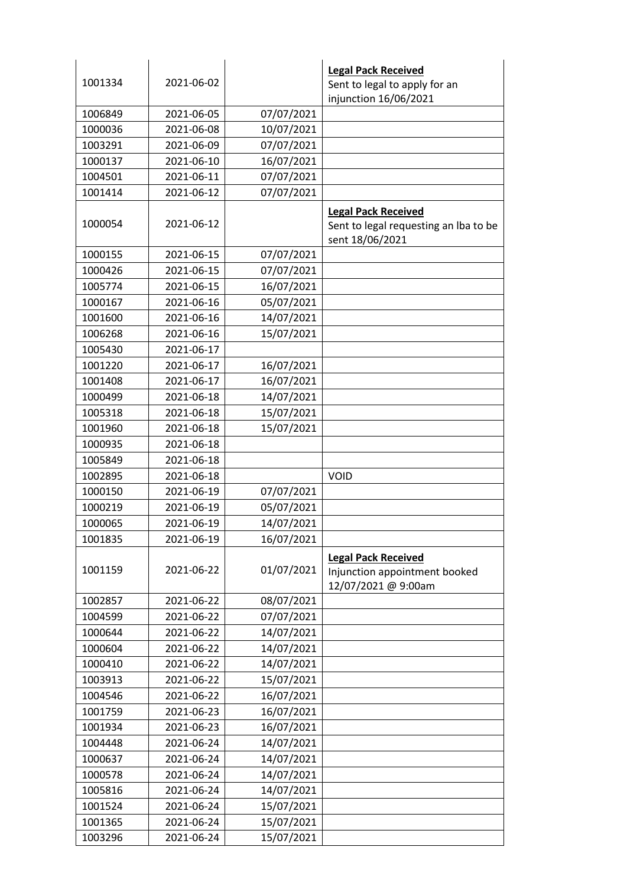|         |            |            | <b>Legal Pack Received</b>                                                             |
|---------|------------|------------|----------------------------------------------------------------------------------------|
| 1001334 | 2021-06-02 |            | Sent to legal to apply for an                                                          |
|         |            |            | injunction 16/06/2021                                                                  |
| 1006849 | 2021-06-05 | 07/07/2021 |                                                                                        |
| 1000036 | 2021-06-08 | 10/07/2021 |                                                                                        |
| 1003291 | 2021-06-09 | 07/07/2021 |                                                                                        |
| 1000137 | 2021-06-10 | 16/07/2021 |                                                                                        |
| 1004501 | 2021-06-11 | 07/07/2021 |                                                                                        |
| 1001414 | 2021-06-12 | 07/07/2021 |                                                                                        |
| 1000054 | 2021-06-12 |            | <b>Legal Pack Received</b><br>Sent to legal requesting an Iba to be<br>sent 18/06/2021 |
| 1000155 | 2021-06-15 | 07/07/2021 |                                                                                        |
| 1000426 | 2021-06-15 | 07/07/2021 |                                                                                        |
| 1005774 | 2021-06-15 | 16/07/2021 |                                                                                        |
| 1000167 | 2021-06-16 | 05/07/2021 |                                                                                        |
| 1001600 | 2021-06-16 | 14/07/2021 |                                                                                        |
| 1006268 | 2021-06-16 | 15/07/2021 |                                                                                        |
| 1005430 | 2021-06-17 |            |                                                                                        |
| 1001220 | 2021-06-17 | 16/07/2021 |                                                                                        |
| 1001408 | 2021-06-17 | 16/07/2021 |                                                                                        |
| 1000499 | 2021-06-18 | 14/07/2021 |                                                                                        |
| 1005318 | 2021-06-18 | 15/07/2021 |                                                                                        |
| 1001960 | 2021-06-18 | 15/07/2021 |                                                                                        |
| 1000935 | 2021-06-18 |            |                                                                                        |
| 1005849 | 2021-06-18 |            |                                                                                        |
| 1002895 | 2021-06-18 |            | VOID                                                                                   |
| 1000150 | 2021-06-19 | 07/07/2021 |                                                                                        |
| 1000219 | 2021-06-19 | 05/07/2021 |                                                                                        |
| 1000065 | 2021-06-19 | 14/07/2021 |                                                                                        |
| 1001835 | 2021-06-19 | 16/07/2021 |                                                                                        |
| 1001159 | 2021-06-22 | 01/07/2021 | <b>Legal Pack Received</b><br>Injunction appointment booked<br>12/07/2021 @ 9:00am     |
| 1002857 | 2021-06-22 | 08/07/2021 |                                                                                        |
| 1004599 | 2021-06-22 | 07/07/2021 |                                                                                        |
| 1000644 | 2021-06-22 | 14/07/2021 |                                                                                        |
| 1000604 | 2021-06-22 | 14/07/2021 |                                                                                        |
| 1000410 | 2021-06-22 | 14/07/2021 |                                                                                        |
| 1003913 | 2021-06-22 | 15/07/2021 |                                                                                        |
| 1004546 | 2021-06-22 | 16/07/2021 |                                                                                        |
| 1001759 | 2021-06-23 | 16/07/2021 |                                                                                        |
| 1001934 | 2021-06-23 | 16/07/2021 |                                                                                        |
| 1004448 | 2021-06-24 | 14/07/2021 |                                                                                        |
| 1000637 | 2021-06-24 | 14/07/2021 |                                                                                        |
| 1000578 | 2021-06-24 | 14/07/2021 |                                                                                        |
| 1005816 | 2021-06-24 | 14/07/2021 |                                                                                        |
| 1001524 | 2021-06-24 | 15/07/2021 |                                                                                        |
| 1001365 | 2021-06-24 | 15/07/2021 |                                                                                        |
| 1003296 | 2021-06-24 | 15/07/2021 |                                                                                        |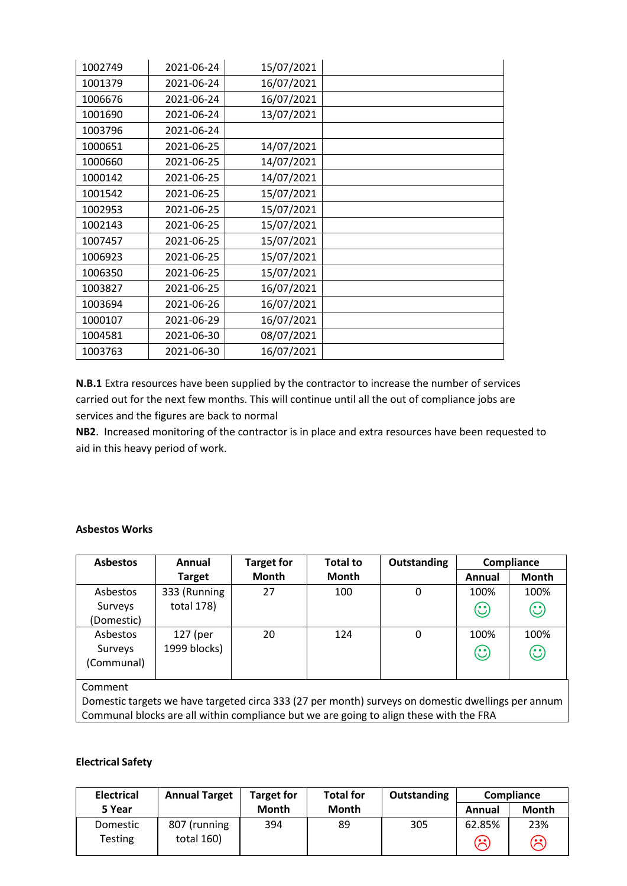| 1002749 | 2021-06-24 | 15/07/2021 |  |
|---------|------------|------------|--|
| 1001379 | 2021-06-24 | 16/07/2021 |  |
| 1006676 | 2021-06-24 | 16/07/2021 |  |
| 1001690 | 2021-06-24 | 13/07/2021 |  |
| 1003796 | 2021-06-24 |            |  |
| 1000651 | 2021-06-25 | 14/07/2021 |  |
| 1000660 | 2021-06-25 | 14/07/2021 |  |
| 1000142 | 2021-06-25 | 14/07/2021 |  |
| 1001542 | 2021-06-25 | 15/07/2021 |  |
| 1002953 | 2021-06-25 | 15/07/2021 |  |
| 1002143 | 2021-06-25 | 15/07/2021 |  |
| 1007457 | 2021-06-25 | 15/07/2021 |  |
| 1006923 | 2021-06-25 | 15/07/2021 |  |
| 1006350 | 2021-06-25 | 15/07/2021 |  |
| 1003827 | 2021-06-25 | 16/07/2021 |  |
| 1003694 | 2021-06-26 | 16/07/2021 |  |
| 1000107 | 2021-06-29 | 16/07/2021 |  |
| 1004581 | 2021-06-30 | 08/07/2021 |  |
| 1003763 | 2021-06-30 | 16/07/2021 |  |

**N.B.1** Extra resources have been supplied by the contractor to increase the number of services carried out for the next few months. This will continue until all the out of compliance jobs are services and the figures are back to normal

**NB2**. Increased monitoring of the contractor is in place and extra resources have been requested to aid in this heavy period of work.

#### **Asbestos Works**

| <b>Asbestos</b> | Annual        | <b>Target for</b> | <b>Total to</b> | Outstanding |         | Compliance |
|-----------------|---------------|-------------------|-----------------|-------------|---------|------------|
|                 | <b>Target</b> | Month             | Month           |             | Annual  | Month      |
| Asbestos        | 333 (Running  | 27                | 100             | 0           | 100%    | 100%       |
| Surveys         | total 178)    |                   |                 |             | $\odot$ | $\odot$    |
| (Domestic)      |               |                   |                 |             |         |            |
| Asbestos        | 127 (per      | 20                | 124             | 0           | 100%    | 100%       |
| Surveys         | 1999 blocks)  |                   |                 |             | $\odot$ | $\odot$    |
| (Communal)      |               |                   |                 |             |         |            |
|                 |               |                   |                 |             |         |            |

Comment

Domestic targets we have targeted circa 333 (27 per month) surveys on domestic dwellings per annum Communal blocks are all within compliance but we are going to align these with the FRA

#### **Electrical Safety**

| <b>Electrical</b>          | <b>Annual Target</b>       | <b>Target for</b> | <b>Total for</b> | Outstanding |             | Compliance   |
|----------------------------|----------------------------|-------------------|------------------|-------------|-------------|--------------|
| 5 Year                     |                            | <b>Month</b>      | Month            |             | Annual      | <b>Month</b> |
| Domestic<br><b>Testing</b> | 807 (running<br>total 160) | 394               | 89               | 305         | 62.85%<br>ශ | 23%<br>ල     |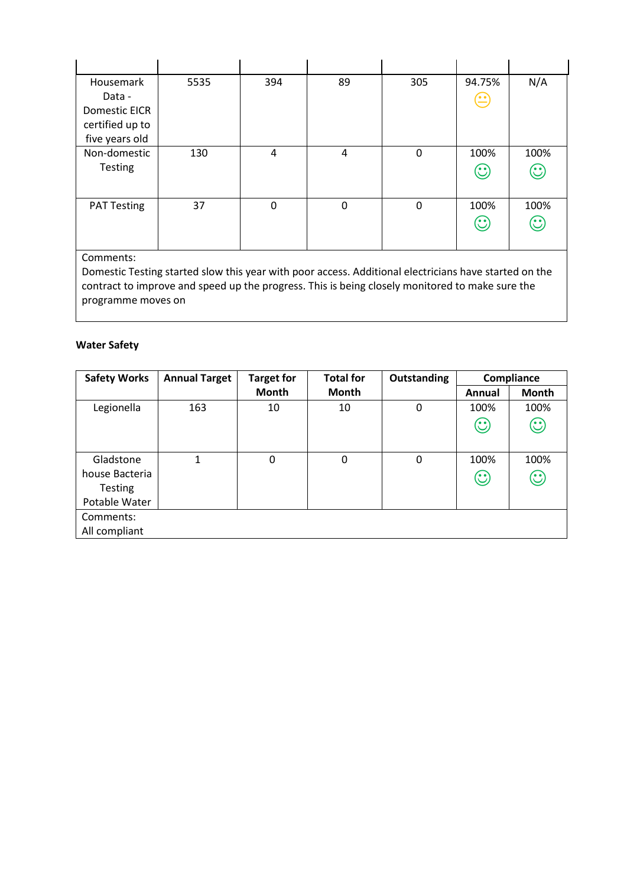| Housemark            | 5535 | 394 | 89       | 305         | 94.75%                                | N/A     |
|----------------------|------|-----|----------|-------------|---------------------------------------|---------|
| Data -               |      |     |          |             | $\bf \color{red} \boldsymbol{\Xi}$    |         |
| <b>Domestic EICR</b> |      |     |          |             |                                       |         |
| certified up to      |      |     |          |             |                                       |         |
| five years old       |      |     |          |             |                                       |         |
| Non-domestic         | 130  | 4   | 4        | $\mathbf 0$ | 100%                                  | 100%    |
| <b>Testing</b>       |      |     |          |             | $\mathbf{\large \textcirc \textcirc}$ | $\odot$ |
|                      |      |     |          |             |                                       |         |
|                      |      |     |          |             |                                       |         |
| <b>PAT Testing</b>   | 37   | 0   | $\Omega$ | $\mathbf 0$ | 100%                                  | 100%    |
|                      |      |     |          |             | $\odot$                               | $\odot$ |
|                      |      |     |          |             |                                       |         |

Comments:

Domestic Testing started slow this year with poor access. Additional electricians have started on the contract to improve and speed up the progress. This is being closely monitored to make sure the programme moves on

## **Water Safety**

| <b>Safety Works</b> | <b>Annual Target</b> | <b>Target for</b> | <b>Total for</b> | Outstanding |         | Compliance   |
|---------------------|----------------------|-------------------|------------------|-------------|---------|--------------|
|                     |                      | Month             | <b>Month</b>     |             | Annual  | <b>Month</b> |
| Legionella          | 163                  | 10                | 10               | $\mathbf 0$ | 100%    | 100%         |
|                     |                      |                   |                  |             | $\odot$ | $\odot$      |
|                     |                      |                   |                  |             |         |              |
| Gladstone           | 1                    | 0                 | 0                | 0           | 100%    | 100%         |
| house Bacteria      |                      |                   |                  |             | $\odot$ | $\odot$      |
| <b>Testing</b>      |                      |                   |                  |             |         |              |
| Potable Water       |                      |                   |                  |             |         |              |
| Comments:           |                      |                   |                  |             |         |              |
| All compliant       |                      |                   |                  |             |         |              |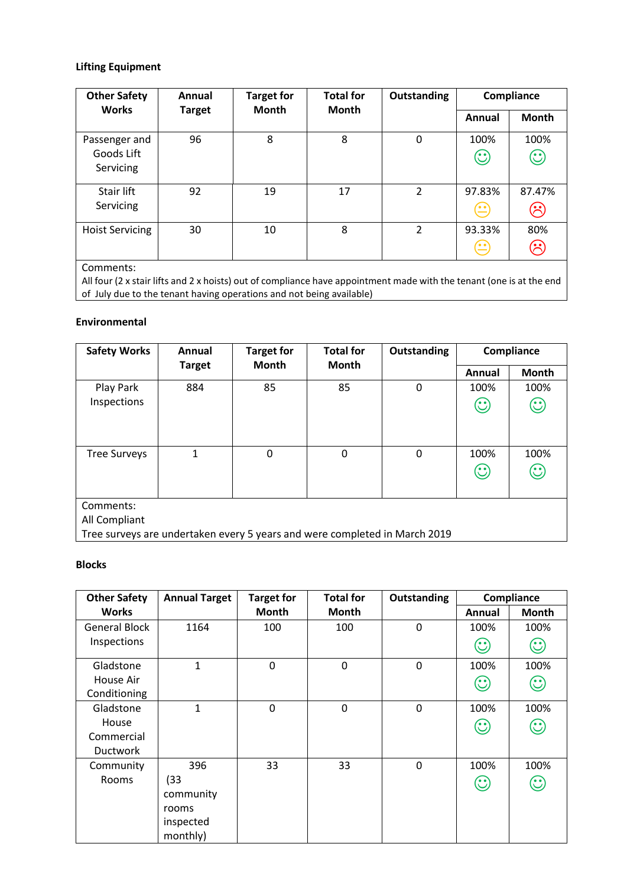# **Lifting Equipment**

| <b>Other Safety</b>                      | <b>Total for</b><br><b>Target for</b><br>Annual | Outstanding  | Compliance   |   |                                                                                               |                   |
|------------------------------------------|-------------------------------------------------|--------------|--------------|---|-----------------------------------------------------------------------------------------------|-------------------|
| <b>Works</b>                             | <b>Target</b>                                   | <b>Month</b> | <b>Month</b> |   | Annual                                                                                        | <b>Month</b>      |
| Passenger and<br>Goods Lift<br>Servicing | 96                                              | 8            | 8            | 0 | 100%<br>$\odot$                                                                               | 100%<br>$\odot$   |
| Stair lift<br>Servicing                  | 92                                              | 19           | 17           | 2 | 97.83%<br>$\left( \begin{matrix} \bullet & \bullet \\ \bullet & \bullet \end{matrix} \right)$ | 87.47%<br>$\odot$ |
| <b>Hoist Servicing</b>                   | 30                                              | 10           | 8            | 2 | 93.33%<br>$\left( \begin{matrix} \bullet & \bullet \\ \bullet & \bullet \end{matrix} \right)$ | 80%<br><u>(مع</u> |

Comments:

All four (2 x stair lifts and 2 x hoists) out of compliance have appointment made with the tenant (one is at the end of July due to the tenant having operations and not being available)

#### **Environmental**

| <b>Safety Works</b>                                                        | Annual        | <b>Target for</b> | <b>Total for</b> |   | Outstanding                         |              | Compliance |
|----------------------------------------------------------------------------|---------------|-------------------|------------------|---|-------------------------------------|--------------|------------|
|                                                                            | <b>Target</b> | <b>Month</b>      | <b>Month</b>     |   | Annual                              | <b>Month</b> |            |
| Play Park                                                                  | 884           | 85                | 85               | 0 | 100%                                | 100%         |            |
| Inspections                                                                |               |                   |                  |   | $\mathrel{(\mathrel{\mathop:}{:})}$ | $\odot$      |            |
|                                                                            |               |                   |                  |   |                                     |              |            |
|                                                                            |               |                   |                  |   |                                     |              |            |
| <b>Tree Surveys</b>                                                        | 1             | 0                 | $\Omega$         | 0 | 100%                                | 100%         |            |
|                                                                            |               |                   |                  |   | $\odot$                             | $\odot$      |            |
|                                                                            |               |                   |                  |   |                                     |              |            |
| Comments:                                                                  |               |                   |                  |   |                                     |              |            |
| All Compliant                                                              |               |                   |                  |   |                                     |              |            |
| Tree surveys are undertaken every 5 years and were completed in March 2019 |               |                   |                  |   |                                     |              |            |

#### **Blocks**

| <b>Other Safety</b>  | <b>Annual Target</b> | <b>Target for</b> | <b>Total for</b> | Outstanding      |                                          | Compliance   |
|----------------------|----------------------|-------------------|------------------|------------------|------------------------------------------|--------------|
| <b>Works</b>         |                      | Month             | Month            |                  | Annual                                   | <b>Month</b> |
| <b>General Block</b> | 1164                 | 100               | 100              | 0                | 100%                                     | 100%         |
| Inspections          |                      |                   |                  |                  | $\mathbf{\large \text{(}}\cdot \text{)}$ | $\odot$      |
| Gladstone            | $\mathbf{1}$         | $\mathbf 0$       | $\Omega$         | 0                | 100%                                     | 100%         |
| House Air            |                      |                   |                  |                  | $\odot$                                  | $\odot$      |
| Conditioning         |                      |                   |                  |                  |                                          |              |
| Gladstone            | $\mathbf{1}$         | 0                 | $\Omega$         | $\boldsymbol{0}$ | 100%                                     | 100%         |
| House                |                      |                   |                  |                  | $\odot$                                  | $\mathbb{C}$ |
| Commercial           |                      |                   |                  |                  |                                          |              |
| <b>Ductwork</b>      |                      |                   |                  |                  |                                          |              |
| Community            | 396                  | 33                | 33               | $\mathbf 0$      | 100%                                     | 100%         |
| Rooms                | (33)                 |                   |                  |                  | $\mathbf{\large \text{(}}\cdot \text{)}$ | $\odot$      |
|                      | community            |                   |                  |                  |                                          |              |
|                      | rooms                |                   |                  |                  |                                          |              |
|                      | inspected            |                   |                  |                  |                                          |              |
|                      | monthly)             |                   |                  |                  |                                          |              |